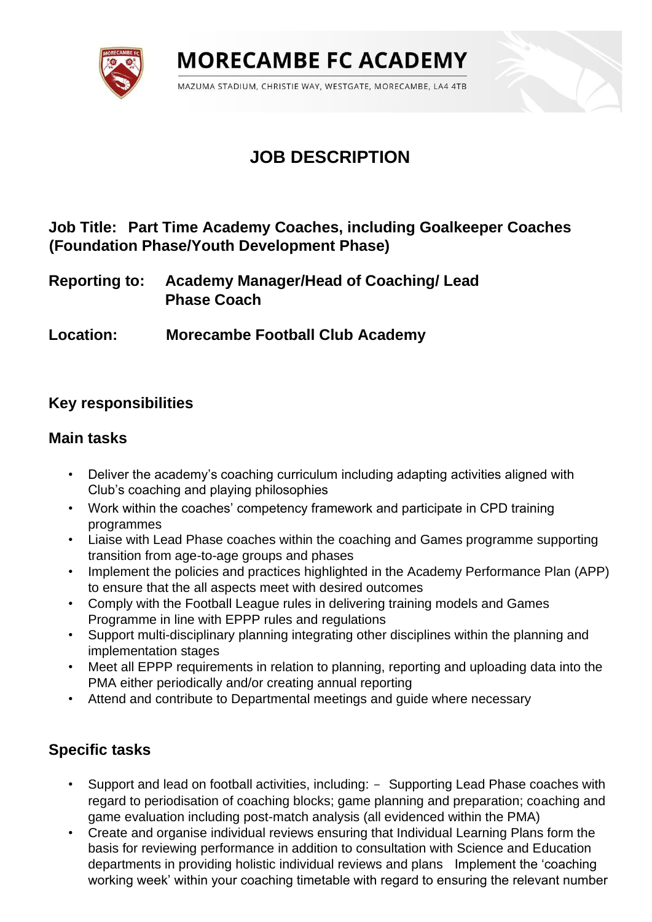**MORECAMBE FC ACADEMY** 

MAZUMA STADIUM, CHRISTIE WAY, WESTGATE, MORECAMBE, LA4 4TB

# **JOB DESCRIPTION**

## **Job Title: Part Time Academy Coaches, including Goalkeeper Coaches (Foundation Phase/Youth Development Phase)**

**Reporting to: Academy Manager/Head of Coaching/ Lead Phase Coach** 

**Location: Morecambe Football Club Academy** 

# **Key responsibilities**

### **Main tasks**

- Deliver the academy's coaching curriculum including adapting activities aligned with Club's coaching and playing philosophies
- Work within the coaches' competency framework and participate in CPD training programmes
- Liaise with Lead Phase coaches within the coaching and Games programme supporting transition from age-to-age groups and phases
- Implement the policies and practices highlighted in the Academy Performance Plan (APP) to ensure that the all aspects meet with desired outcomes
- Comply with the Football League rules in delivering training models and Games Programme in line with EPPP rules and regulations
- Support multi-disciplinary planning integrating other disciplines within the planning and implementation stages
- Meet all EPPP requirements in relation to planning, reporting and uploading data into the PMA either periodically and/or creating annual reporting
- Attend and contribute to Departmental meetings and guide where necessary

## **Specific tasks**

- Support and lead on football activities, including: Supporting Lead Phase coaches with regard to periodisation of coaching blocks; game planning and preparation; coaching and game evaluation including post-match analysis (all evidenced within the PMA)
- Create and organise individual reviews ensuring that Individual Learning Plans form the basis for reviewing performance in addition to consultation with Science and Education departments in providing holistic individual reviews and plans Implement the 'coaching working week' within your coaching timetable with regard to ensuring the relevant number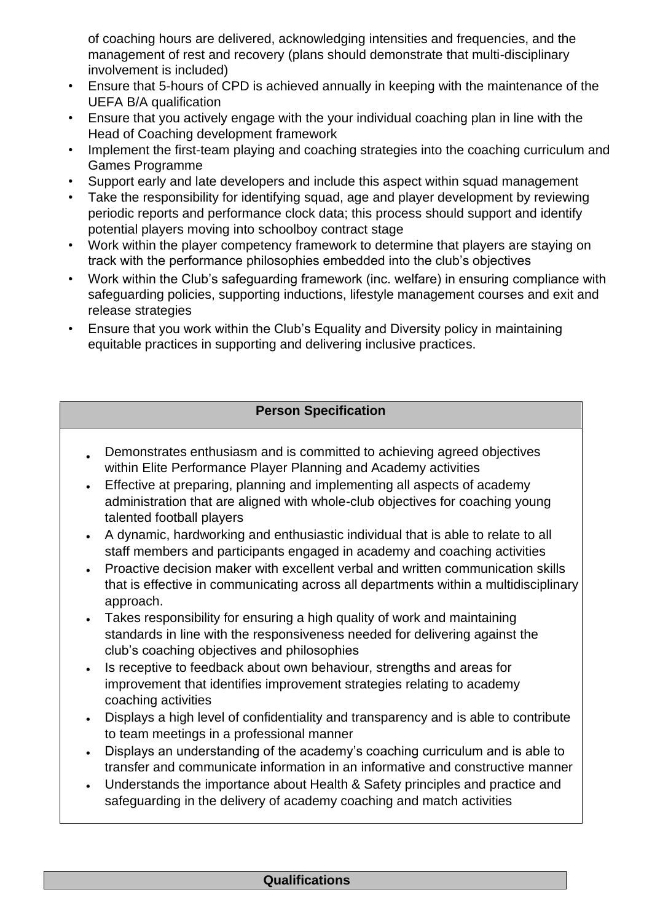of coaching hours are delivered, acknowledging intensities and frequencies, and the management of rest and recovery (plans should demonstrate that multi-disciplinary involvement is included)

- Ensure that 5-hours of CPD is achieved annually in keeping with the maintenance of the UEFA B/A qualification
- Ensure that you actively engage with the your individual coaching plan in line with the Head of Coaching development framework
- Implement the first-team playing and coaching strategies into the coaching curriculum and Games Programme
- Support early and late developers and include this aspect within squad management
- Take the responsibility for identifying squad, age and player development by reviewing periodic reports and performance clock data; this process should support and identify potential players moving into schoolboy contract stage
- Work within the player competency framework to determine that players are staying on track with the performance philosophies embedded into the club's objectives
- Work within the Club's safeguarding framework (inc. welfare) in ensuring compliance with safeguarding policies, supporting inductions, lifestyle management courses and exit and release strategies
- Ensure that you work within the Club's Equality and Diversity policy in maintaining equitable practices in supporting and delivering inclusive practices.

### **Person Specification**

- Demonstrates enthusiasm and is committed to achieving agreed objectives within Elite Performance Player Planning and Academy activities
- Effective at preparing, planning and implementing all aspects of academy administration that are aligned with whole-club objectives for coaching young talented football players
- A dynamic, hardworking and enthusiastic individual that is able to relate to all staff members and participants engaged in academy and coaching activities
- Proactive decision maker with excellent verbal and written communication skills that is effective in communicating across all departments within a multidisciplinary approach.
- Takes responsibility for ensuring a high quality of work and maintaining standards in line with the responsiveness needed for delivering against the club's coaching objectives and philosophies
- Is receptive to feedback about own behaviour, strengths and areas for improvement that identifies improvement strategies relating to academy coaching activities
- Displays a high level of confidentiality and transparency and is able to contribute to team meetings in a professional manner
- Displays an understanding of the academy's coaching curriculum and is able to transfer and communicate information in an informative and constructive manner
- Understands the importance about Health & Safety principles and practice and safeguarding in the delivery of academy coaching and match activities